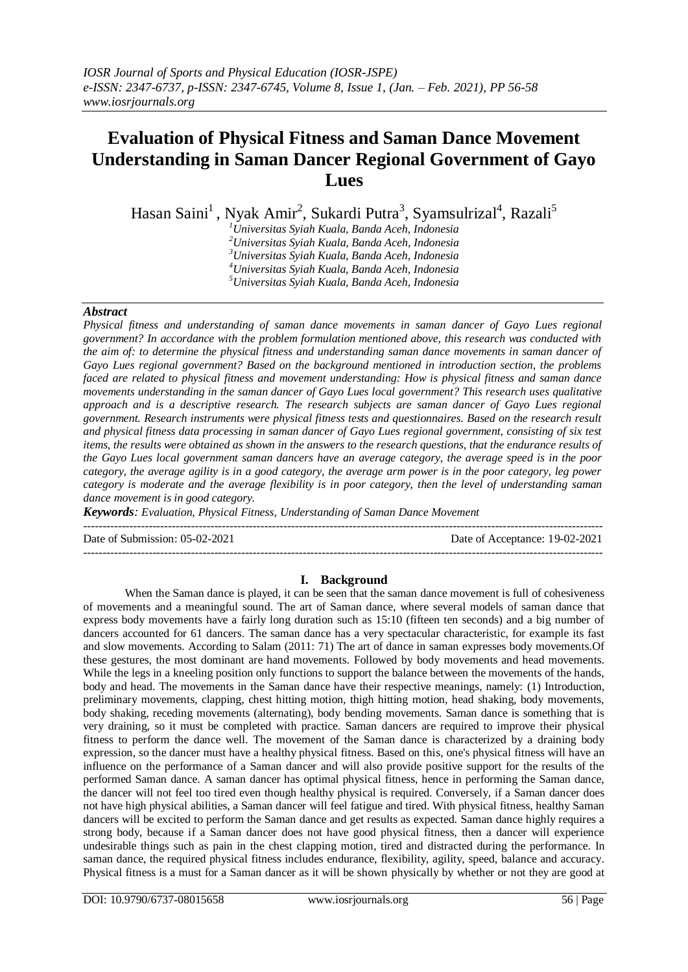# **Evaluation of Physical Fitness and Saman Dance Movement Understanding in Saman Dancer Regional Government of Gayo Lues**

Hasan Saini<sup>1</sup>, Nyak Amir<sup>2</sup>, Sukardi Putra<sup>3</sup>, Syamsulrizal<sup>4</sup>, Razali<sup>5</sup>

*Universitas Syiah Kuala, Banda Aceh, Indonesia Universitas Syiah Kuala, Banda Aceh, Indonesia Universitas Syiah Kuala, Banda Aceh, Indonesia Universitas Syiah Kuala, Banda Aceh, Indonesia Universitas Syiah Kuala, Banda Aceh, Indonesia*

# *Abstract*

*Physical fitness and understanding of saman dance movements in saman dancer of Gayo Lues regional government? In accordance with the problem formulation mentioned above, this research was conducted with the aim of: to determine the physical fitness and understanding saman dance movements in saman dancer of Gayo Lues regional government? Based on the background mentioned in introduction section, the problems faced are related to physical fitness and movement understanding: How is physical fitness and saman dance movements understanding in the saman dancer of Gayo Lues local government? This research uses qualitative approach and is a descriptive research. The research subjects are saman dancer of Gayo Lues regional government. Research instruments were physical fitness tests and questionnaires. Based on the research result and physical fitness data processing in saman dancer of Gayo Lues regional government, consisting of six test items, the results were obtained as shown in the answers to the research questions, that the endurance results of the Gayo Lues local government saman dancers have an average category, the average speed is in the poor category, the average agility is in a good category, the average arm power is in the poor category, leg power category is moderate and the average flexibility is in poor category, then the level of understanding saman dance movement is in good category.*

*Keywords: Evaluation, Physical Fitness, Understanding of Saman Dance Movement*

Date of Submission: 05-02-2021 Date of Acceptance: 19-02-2021

---------------------------------------------------------------------------------------------------------------------------------------

---------------------------------------------------------------------------------------------------------------------------------------

## **I. Background**

When the Saman dance is played, it can be seen that the saman dance movement is full of cohesiveness of movements and a meaningful sound. The art of Saman dance, where several models of saman dance that express body movements have a fairly long duration such as 15:10 (fifteen ten seconds) and a big number of dancers accounted for 61 dancers. The saman dance has a very spectacular characteristic, for example its fast and slow movements. According to Salam (2011: 71) The art of dance in saman expresses body movements.Of these gestures, the most dominant are hand movements. Followed by body movements and head movements. While the legs in a kneeling position only functions to support the balance between the movements of the hands, body and head. The movements in the Saman dance have their respective meanings, namely: (1) Introduction, preliminary movements, clapping, chest hitting motion, thigh hitting motion, head shaking, body movements, body shaking, receding movements (alternating), body bending movements. Saman dance is something that is very draining, so it must be completed with practice. Saman dancers are required to improve their physical fitness to perform the dance well. The movement of the Saman dance is characterized by a draining body expression, so the dancer must have a healthy physical fitness. Based on this, one's physical fitness will have an influence on the performance of a Saman dancer and will also provide positive support for the results of the performed Saman dance. A saman dancer has optimal physical fitness, hence in performing the Saman dance, the dancer will not feel too tired even though healthy physical is required. Conversely, if a Saman dancer does not have high physical abilities, a Saman dancer will feel fatigue and tired. With physical fitness, healthy Saman dancers will be excited to perform the Saman dance and get results as expected. Saman dance highly requires a strong body, because if a Saman dancer does not have good physical fitness, then a dancer will experience undesirable things such as pain in the chest clapping motion, tired and distracted during the performance. In saman dance, the required physical fitness includes endurance, flexibility, agility, speed, balance and accuracy. Physical fitness is a must for a Saman dancer as it will be shown physically by whether or not they are good at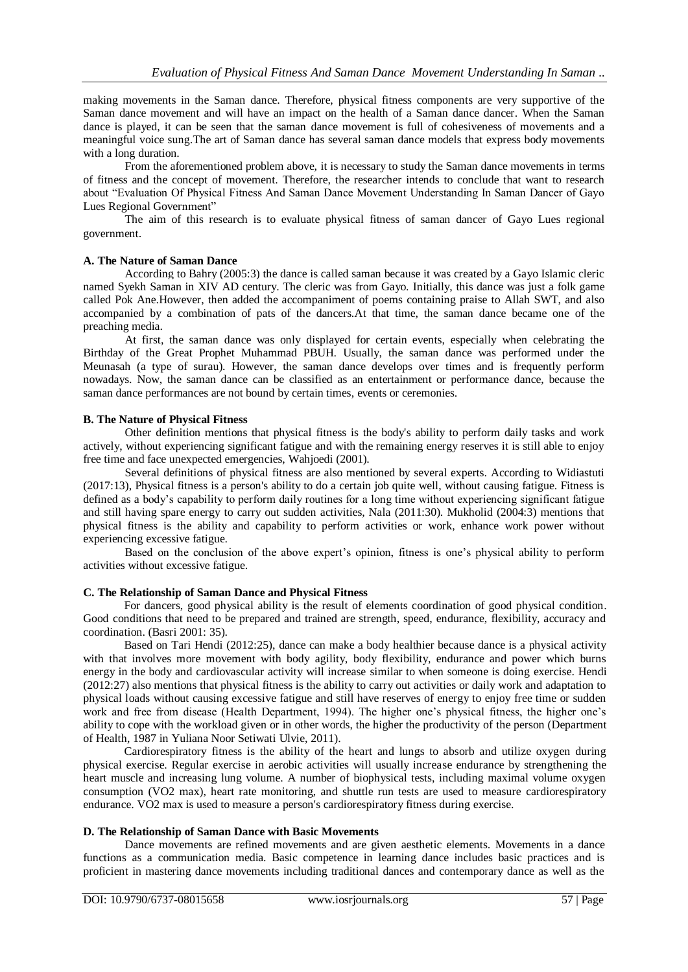making movements in the Saman dance. Therefore, physical fitness components are very supportive of the Saman dance movement and will have an impact on the health of a Saman dance dancer. When the Saman dance is played, it can be seen that the saman dance movement is full of cohesiveness of movements and a meaningful voice sung.The art of Saman dance has several saman dance models that express body movements with a long duration.

From the aforementioned problem above, it is necessary to study the Saman dance movements in terms of fitness and the concept of movement. Therefore, the researcher intends to conclude that want to research about "Evaluation Of Physical Fitness And Saman Dance Movement Understanding In Saman Dancer of Gayo Lues Regional Government"

The aim of this research is to evaluate physical fitness of saman dancer of Gayo Lues regional government.

# **A. The Nature of Saman Dance**

According to Bahry (2005:3) the dance is called saman because it was created by a Gayo Islamic cleric named Syekh Saman in XIV AD century. The cleric was from Gayo. Initially, this dance was just a folk game called Pok Ane.However, then added the accompaniment of poems containing praise to Allah SWT, and also accompanied by a combination of pats of the dancers.At that time, the saman dance became one of the preaching media.

At first, the saman dance was only displayed for certain events, especially when celebrating the Birthday of the Great Prophet Muhammad PBUH. Usually, the saman dance was performed under the Meunasah (a type of surau). However, the saman dance develops over times and is frequently perform nowadays. Now, the saman dance can be classified as an entertainment or performance dance, because the saman dance performances are not bound by certain times, events or ceremonies.

## **B. The Nature of Physical Fitness**

Other definition mentions that physical fitness is the body's ability to perform daily tasks and work actively, without experiencing significant fatigue and with the remaining energy reserves it is still able to enjoy free time and face unexpected emergencies, Wahjoedi (2001).

Several definitions of physical fitness are also mentioned by several experts. According to Widiastuti (2017:13), Physical fitness is a person's ability to do a certain job quite well, without causing fatigue. Fitness is defined as a body's capability to perform daily routines for a long time without experiencing significant fatigue and still having spare energy to carry out sudden activities, Nala (2011:30). Mukholid (2004:3) mentions that physical fitness is the ability and capability to perform activities or work, enhance work power without experiencing excessive fatigue.

Based on the conclusion of the above expert's opinion, fitness is one's physical ability to perform activities without excessive fatigue.

## **C. The Relationship of Saman Dance and Physical Fitness**

For dancers, good physical ability is the result of elements coordination of good physical condition. Good conditions that need to be prepared and trained are strength, speed, endurance, flexibility, accuracy and coordination. (Basri 2001: 35).

Based on Tari Hendi (2012:25), dance can make a body healthier because dance is a physical activity with that involves more movement with body agility, body flexibility, endurance and power which burns energy in the body and cardiovascular activity will increase similar to when someone is doing exercise. Hendi (2012:27) also mentions that physical fitness is the ability to carry out activities or daily work and adaptation to physical loads without causing excessive fatigue and still have reserves of energy to enjoy free time or sudden work and free from disease (Health Department, 1994). The higher one's physical fitness, the higher one's ability to cope with the workload given or in other words, the higher the productivity of the person (Department of Health, 1987 in Yuliana Noor Setiwati Ulvie, 2011).

Cardiorespiratory fitness is the ability of the heart and lungs to absorb and utilize oxygen during physical exercise. Regular exercise in aerobic activities will usually increase endurance by strengthening the heart muscle and increasing lung volume. A number of biophysical tests, including maximal volume oxygen consumption (VO2 max), heart rate monitoring, and shuttle run tests are used to measure cardiorespiratory endurance. VO2 max is used to measure a person's cardiorespiratory fitness during exercise.

## **D. The Relationship of Saman Dance with Basic Movements**

Dance movements are refined movements and are given aesthetic elements. Movements in a dance functions as a communication media. Basic competence in learning dance includes basic practices and is proficient in mastering dance movements including traditional dances and contemporary dance as well as the